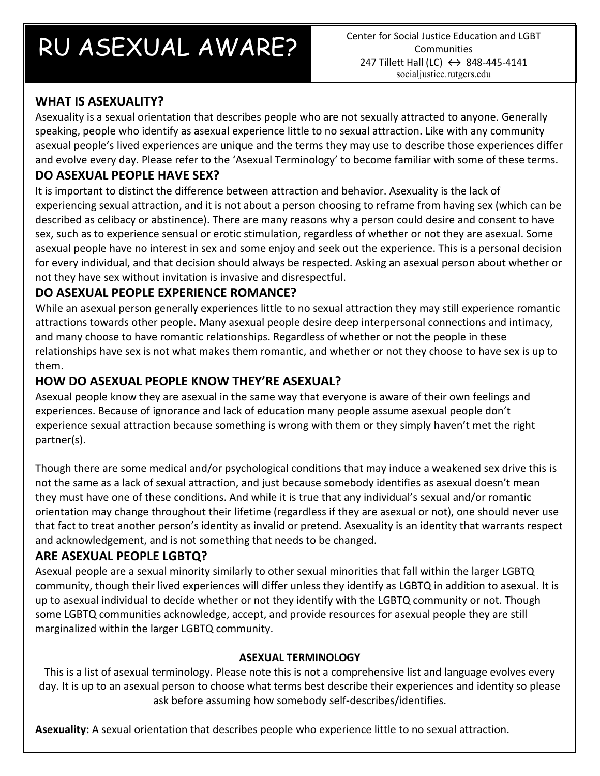# RU ASEXUAL AWARE? Center for Social Justice Education and LGBT

**Communities** 247 Tillett Hall (LC)  $\leftrightarrow$  848-445-4141 socialjustice.rutgers.edu

## **WHAT IS ASEXUALITY?**

Asexuality is a sexual orientation that describes people who are not sexually attracted to anyone. Generally speaking, people who identify as asexual experience little to no sexual attraction. Like with any community asexual people's lived experiences are unique and the terms they may use to describe those experiences differ and evolve every day. Please refer to the 'Asexual Terminology' to become familiar with some of these terms.

## **DO ASEXUAL PEOPLE HAVE SEX?**

It is important to distinct the difference between attraction and behavior. Asexuality is the lack of experiencing sexual attraction, and it is not about a person choosing to reframe from having sex (which can be described as celibacy or abstinence). There are many reasons why a person could desire and consent to have sex, such as to experience sensual or erotic stimulation, regardless of whether or not they are asexual. Some asexual people have no interest in sex and some enjoy and seek out the experience. This is a personal decision for every individual, and that decision should always be respected. Asking an asexual person about whether or not they have sex without invitation is invasive and disrespectful.

## **DO ASEXUAL PEOPLE EXPERIENCE ROMANCE?**

While an asexual person generally experiences little to no sexual attraction they may still experience romantic attractions towards other people. Many asexual people desire deep interpersonal connections and intimacy, and many choose to have romantic relationships. Regardless of whether or not the people in these relationships have sex is not what makes them romantic, and whether or not they choose to have sex is up to them.

#### **HOW DO ASEXUAL PEOPLE KNOW THEY'RE ASEXUAL?**

Asexual people know they are asexual in the same way that everyone is aware of their own feelings and experiences. Because of ignorance and lack of education many people assume asexual people don't experience sexual attraction because something is wrong with them or they simply haven't met the right partner(s).

Though there are some medical and/or psychological conditions that may induce a weakened sex drive this is not the same as a lack of sexual attraction, and just because somebody identifies as asexual doesn't mean they must have one of these conditions. And while it is true that any individual's sexual and/or romantic orientation may change throughout their lifetime (regardless if they are asexual or not), one should never use that fact to treat another person's identity as invalid or pretend. Asexuality is an identity that warrants respect and acknowledgement, and is not something that needs to be changed.

#### **ARE ASEXUAL PEOPLE LGBTQ?**

Asexual people are a sexual minority similarly to other sexual minorities that fall within the larger LGBTQ community, though their lived experiences will differ unless they identify as LGBTQ in addition to asexual. It is up to asexual individual to decide whether or not they identify with the LGBTQ community or not. Though some LGBTQ communities acknowledge, accept, and provide resources for asexual people they are still marginalized within the larger LGBTQ community.

#### **ASEXUAL TERMINOLOGY**

This is a list of asexual terminology. Please note this is not a comprehensive list and language evolves every day. It is up to an asexual person to choose what terms best describe their experiences and identity so please ask before assuming how somebody self-describes/identifies.

**Asexuality:** A sexual orientation that describes people who experience little to no sexual attraction.